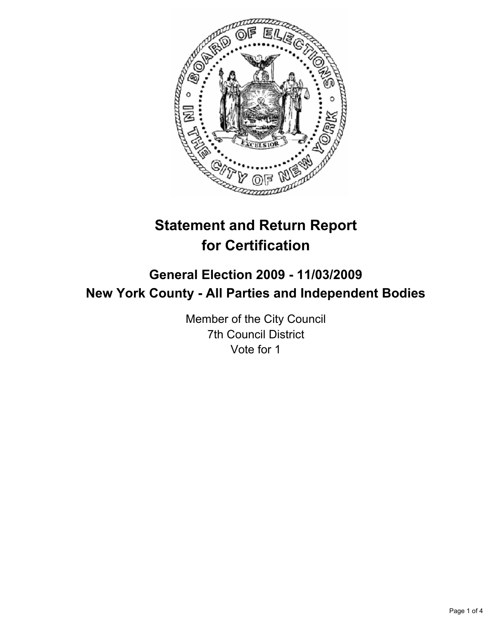

# **Statement and Return Report for Certification**

## **General Election 2009 - 11/03/2009 New York County - All Parties and Independent Bodies**

Member of the City Council 7th Council District Vote for 1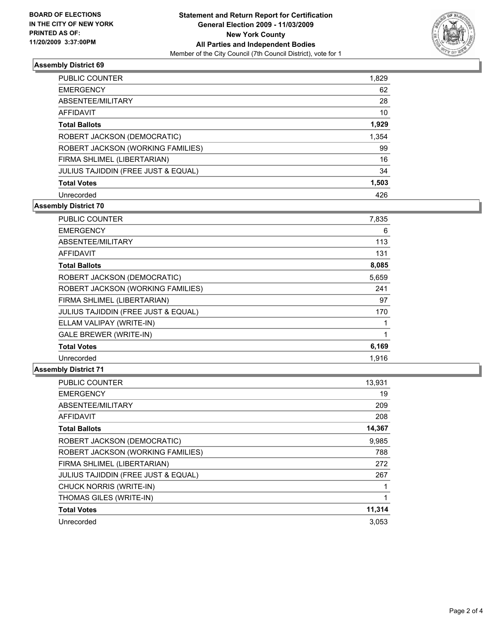

### **Assembly District 69**

| <b>PUBLIC COUNTER</b>               | 1,829 |
|-------------------------------------|-------|
| <b>EMERGENCY</b>                    | 62    |
| ABSENTEE/MILITARY                   | 28    |
| AFFIDAVIT                           | 10    |
| <b>Total Ballots</b>                | 1,929 |
| ROBERT JACKSON (DEMOCRATIC)         | 1,354 |
| ROBERT JACKSON (WORKING FAMILIES)   | 99    |
| FIRMA SHLIMEL (LIBERTARIAN)         | 16    |
| JULIUS TAJIDDIN (FREE JUST & EQUAL) | 34    |
| <b>Total Votes</b>                  | 1,503 |
| Unrecorded                          | 426   |

### **Assembly District 70**

| <b>PUBLIC COUNTER</b>                          | 7,835 |
|------------------------------------------------|-------|
| <b>EMERGENCY</b>                               | 6     |
| ABSENTEE/MILITARY                              | 113   |
| <b>AFFIDAVIT</b>                               | 131   |
| <b>Total Ballots</b>                           | 8,085 |
| ROBERT JACKSON (DEMOCRATIC)                    | 5,659 |
| ROBERT JACKSON (WORKING FAMILIES)              | 241   |
| FIRMA SHLIMEL (LIBERTARIAN)                    | 97    |
| <b>JULIUS TAJIDDIN (FREE JUST &amp; EQUAL)</b> | 170   |
| ELLAM VALIPAY (WRITE-IN)                       | 1     |
| <b>GALE BREWER (WRITE-IN)</b>                  | 1     |
| <b>Total Votes</b>                             | 6,169 |
| Unrecorded                                     | 1,916 |

#### **Assembly District 71**

| <b>PUBLIC COUNTER</b>                          | 13,931 |
|------------------------------------------------|--------|
| <b>EMERGENCY</b>                               | 19     |
| ABSENTEE/MILITARY                              | 209    |
| <b>AFFIDAVIT</b>                               | 208    |
| <b>Total Ballots</b>                           | 14,367 |
| ROBERT JACKSON (DEMOCRATIC)                    | 9,985  |
| ROBERT JACKSON (WORKING FAMILIES)              | 788    |
| FIRMA SHLIMEL (LIBERTARIAN)                    | 272    |
| <b>JULIUS TAJIDDIN (FREE JUST &amp; EQUAL)</b> | 267    |
| CHUCK NORRIS (WRITE-IN)                        |        |
| THOMAS GILES (WRITE-IN)                        | 1      |
| <b>Total Votes</b>                             | 11,314 |
| Unrecorded                                     | 3.053  |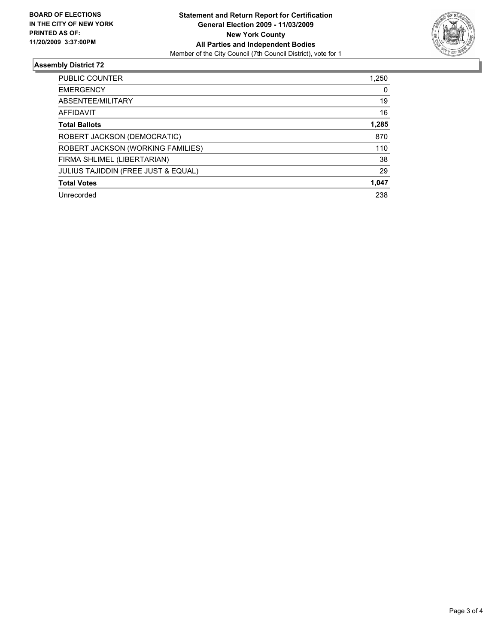

### **Assembly District 72**

| <b>PUBLIC COUNTER</b>                          | 1.250 |
|------------------------------------------------|-------|
| <b>EMERGENCY</b>                               | 0     |
| ABSENTEE/MILITARY                              | 19    |
| AFFIDAVIT                                      | 16    |
| <b>Total Ballots</b>                           | 1,285 |
| ROBERT JACKSON (DEMOCRATIC)                    | 870   |
| ROBERT JACKSON (WORKING FAMILIES)              | 110   |
| FIRMA SHLIMEL (LIBERTARIAN)                    | 38    |
| <b>JULIUS TAJIDDIN (FREE JUST &amp; EQUAL)</b> | 29    |
| <b>Total Votes</b>                             | 1,047 |
| Unrecorded                                     | 238   |